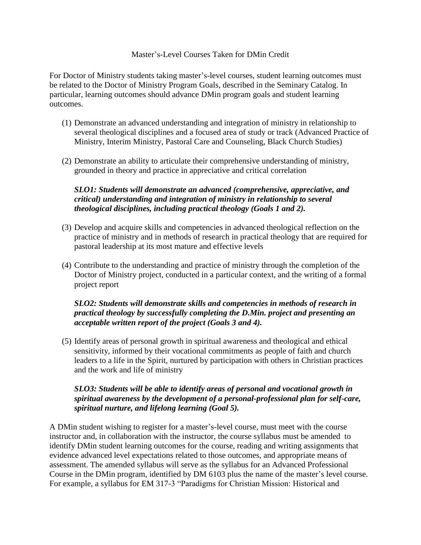## Master's-Level Courses Taken for DMin Credit

For Doctor of Ministry students taking master's-level courses, student learning outcomes must be related to the Doctor of Ministry Program Goals, described in the Seminary Catalog. In particular, learning outcomes should advance DMin program goals and student learning outcomes.

- (1) Demonstrate an advanced understanding and integration of ministry in relationship to several theological disciplines and a focused area of study or track (Advanced Practice of Ministry, Interim Ministry, Pastoral Care and Counseling, Black Church Studies)
- (2) Demonstrate an ability to articulate their comprehensive understanding of ministry, grounded in theory and practice in appreciative and critical correlation

## *SLO1: Students will demonstrate an advanced (comprehensive, appreciative, and critical) understanding and integration of ministry in relationship to several theological disciplines, including practical theology (Goals 1 and 2).*

- (3) Develop and acquire skills and competencies in advanced theological reflection on the practice of ministry and in methods of research in practical theology that are required for pastoral leadership at its most mature and effective levels
- (4) Contribute to the understanding and practice of ministry through the completion of the Doctor of Ministry project, conducted in a particular context, and the writing of a formal project report

## *SLO2: Students will demonstrate skills and competencies in methods of research in practical theology by successfully completing the D.Min. project and presenting an acceptable written report of the project (Goals 3 and 4).*

(5) Identify areas of personal growth in spiritual awareness and theological and ethical sensitivity, informed by their vocational commitments as people of faith and church leaders to a life in the Spirit, nurtured by participation with others in Christian practices and the work and life of ministry

## *SLO3: Students will be able to identify areas of personal and vocational growth in spiritual awareness by the development of a personal-professional plan for self-care, spiritual nurture, and lifelong learning (Goal 5).*

A DMin student wishing to register for a master's-level course, must meet with the course instructor and, in collaboration with the instructor, the course syllabus must be amended to identify DMin student learning outcomes for the course, reading and writing assignments that evidence advanced level expectations related to those outcomes, and appropriate means of assessment. The amended syllabus will serve as the syllabus for an Advanced Professional Course in the DMin program, identified by DM 6103 plus the name of the master's level course. For example, a syllabus for EM 317-3 "Paradigms for Christian Mission: Historical and